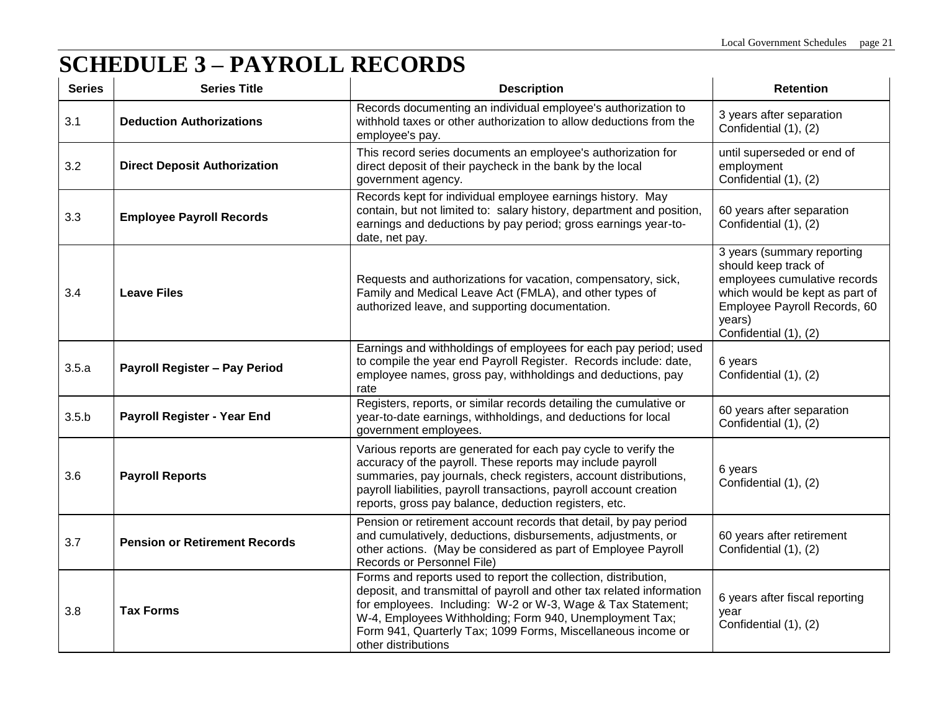## **SCHEDULE 3 – PAYROLL RECORDS**

| <b>Series</b> | <b>Series Title</b>                  | <b>Description</b>                                                                                                                                                                                                                                                                                                                                       | <b>Retention</b>                                                                                                                                                                        |
|---------------|--------------------------------------|----------------------------------------------------------------------------------------------------------------------------------------------------------------------------------------------------------------------------------------------------------------------------------------------------------------------------------------------------------|-----------------------------------------------------------------------------------------------------------------------------------------------------------------------------------------|
| 3.1           | <b>Deduction Authorizations</b>      | Records documenting an individual employee's authorization to<br>withhold taxes or other authorization to allow deductions from the<br>employee's pay.                                                                                                                                                                                                   | 3 years after separation<br>Confidential (1), (2)                                                                                                                                       |
| 3.2           | <b>Direct Deposit Authorization</b>  | This record series documents an employee's authorization for<br>direct deposit of their paycheck in the bank by the local<br>government agency.                                                                                                                                                                                                          | until superseded or end of<br>employment<br>Confidential (1), (2)                                                                                                                       |
| 3.3           | <b>Employee Payroll Records</b>      | Records kept for individual employee earnings history. May<br>contain, but not limited to: salary history, department and position,<br>earnings and deductions by pay period; gross earnings year-to-<br>date, net pay.                                                                                                                                  | 60 years after separation<br>Confidential (1), (2)                                                                                                                                      |
| 3.4           | <b>Leave Files</b>                   | Requests and authorizations for vacation, compensatory, sick,<br>Family and Medical Leave Act (FMLA), and other types of<br>authorized leave, and supporting documentation.                                                                                                                                                                              | 3 years (summary reporting<br>should keep track of<br>employees cumulative records<br>which would be kept as part of<br>Employee Payroll Records, 60<br>years)<br>Confidential (1), (2) |
| 3.5.a         | Payroll Register - Pay Period        | Earnings and withholdings of employees for each pay period; used<br>to compile the year end Payroll Register. Records include: date,<br>employee names, gross pay, withholdings and deductions, pay<br>rate                                                                                                                                              | 6 years<br>Confidential (1), (2)                                                                                                                                                        |
| 3.5.b         | Payroll Register - Year End          | Registers, reports, or similar records detailing the cumulative or<br>year-to-date earnings, withholdings, and deductions for local<br>government employees.                                                                                                                                                                                             | 60 years after separation<br>Confidential (1), (2)                                                                                                                                      |
| 3.6           | <b>Payroll Reports</b>               | Various reports are generated for each pay cycle to verify the<br>accuracy of the payroll. These reports may include payroll<br>summaries, pay journals, check registers, account distributions,<br>payroll liabilities, payroll transactions, payroll account creation<br>reports, gross pay balance, deduction registers, etc.                         | 6 years<br>Confidential (1), (2)                                                                                                                                                        |
| 3.7           | <b>Pension or Retirement Records</b> | Pension or retirement account records that detail, by pay period<br>and cumulatively, deductions, disbursements, adjustments, or<br>other actions. (May be considered as part of Employee Payroll<br>Records or Personnel File)                                                                                                                          | 60 years after retirement<br>Confidential (1), (2)                                                                                                                                      |
| 3.8           | <b>Tax Forms</b>                     | Forms and reports used to report the collection, distribution,<br>deposit, and transmittal of payroll and other tax related information<br>for employees. Including: W-2 or W-3, Wage & Tax Statement;<br>W-4, Employees Withholding; Form 940, Unemployment Tax;<br>Form 941, Quarterly Tax; 1099 Forms, Miscellaneous income or<br>other distributions | 6 years after fiscal reporting<br>year<br>Confidential (1), (2)                                                                                                                         |